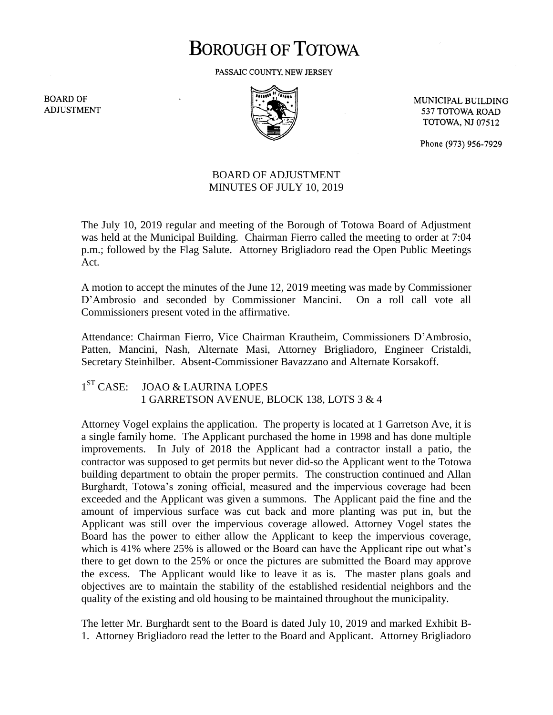# **BOROUGH OF TOTOWA**

PASSAIC COUNTY, NEW JERSEY

**BOARD OF ADJUSTMENT** 



MUNICIPAL BUILDING 537 TOTOWA ROAD **TOTOWA, NJ 07512** 

Phone (973) 956-7929

### BOARD OF ADJUSTMENT MINUTES OF JULY 10, 2019

The July 10, 2019 regular and meeting of the Borough of Totowa Board of Adjustment was held at the Municipal Building. Chairman Fierro called the meeting to order at 7:04 p.m.; followed by the Flag Salute. Attorney Brigliadoro read the Open Public Meetings Act.

A motion to accept the minutes of the June 12, 2019 meeting was made by Commissioner D'Ambrosio and seconded by Commissioner Mancini. On a roll call vote all Commissioners present voted in the affirmative.

Attendance: Chairman Fierro, Vice Chairman Krautheim, Commissioners D'Ambrosio, Patten, Mancini, Nash, Alternate Masi, Attorney Brigliadoro, Engineer Cristaldi, Secretary Steinhilber. Absent-Commissioner Bavazzano and Alternate Korsakoff.

#### $1<sup>ST</sup> CASE:$ JOAO & LAURINA LOPES 1 GARRETSON AVENUE, BLOCK 138, LOTS 3 & 4

Attorney Vogel explains the application. The property is located at 1 Garretson Ave, it is a single family home. The Applicant purchased the home in 1998 and has done multiple improvements. In July of 2018 the Applicant had a contractor install a patio, the contractor was supposed to get permits but never did-so the Applicant went to the Totowa building department to obtain the proper permits. The construction continued and Allan Burghardt, Totowa's zoning official, measured and the impervious coverage had been exceeded and the Applicant was given a summons. The Applicant paid the fine and the amount of impervious surface was cut back and more planting was put in, but the Applicant was still over the impervious coverage allowed. Attorney Vogel states the Board has the power to either allow the Applicant to keep the impervious coverage, which is 41% where 25% is allowed or the Board can have the Applicant ripe out what's there to get down to the 25% or once the pictures are submitted the Board may approve the excess. The Applicant would like to leave it as is. The master plans goals and objectives are to maintain the stability of the established residential neighbors and the quality of the existing and old housing to be maintained throughout the municipality.

The letter Mr. Burghardt sent to the Board is dated July 10, 2019 and marked Exhibit B-1. Attorney Brigliadoro read the letter to the Board and Applicant. Attorney Brigliadoro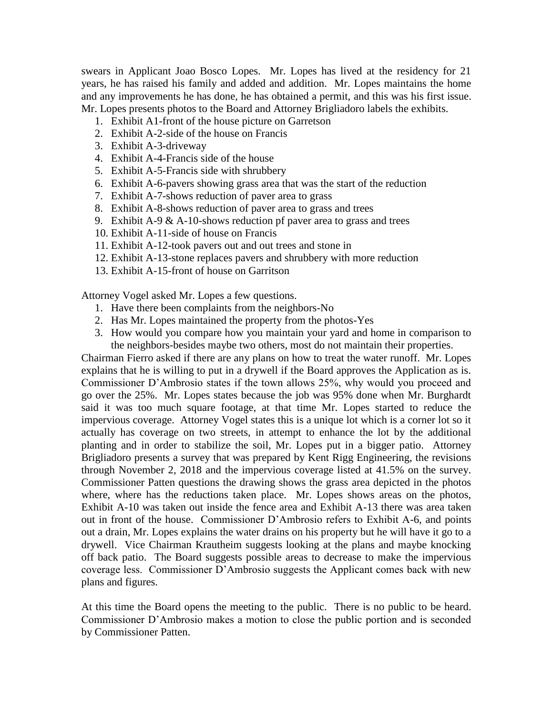swears in Applicant Joao Bosco Lopes. Mr. Lopes has lived at the residency for 21 years, he has raised his family and added and addition. Mr. Lopes maintains the home and any improvements he has done, he has obtained a permit, and this was his first issue. Mr. Lopes presents photos to the Board and Attorney Brigliadoro labels the exhibits.

- 1. Exhibit A1-front of the house picture on Garretson
- 2. Exhibit A-2-side of the house on Francis
- 3. Exhibit A-3-driveway
- 4. Exhibit A-4-Francis side of the house
- 5. Exhibit A-5-Francis side with shrubbery
- 6. Exhibit A-6-pavers showing grass area that was the start of the reduction
- 7. Exhibit A-7-shows reduction of paver area to grass
- 8. Exhibit A-8-shows reduction of paver area to grass and trees
- 9. Exhibit A-9 & A-10-shows reduction pf paver area to grass and trees
- 10. Exhibit A-11-side of house on Francis
- 11. Exhibit A-12-took pavers out and out trees and stone in
- 12. Exhibit A-13-stone replaces pavers and shrubbery with more reduction
- 13. Exhibit A-15-front of house on Garritson

Attorney Vogel asked Mr. Lopes a few questions.

- 1. Have there been complaints from the neighbors-No
- 2. Has Mr. Lopes maintained the property from the photos-Yes
- 3. How would you compare how you maintain your yard and home in comparison to the neighbors-besides maybe two others, most do not maintain their properties.

Chairman Fierro asked if there are any plans on how to treat the water runoff. Mr. Lopes explains that he is willing to put in a drywell if the Board approves the Application as is. Commissioner D'Ambrosio states if the town allows 25%, why would you proceed and go over the 25%. Mr. Lopes states because the job was 95% done when Mr. Burghardt said it was too much square footage, at that time Mr. Lopes started to reduce the impervious coverage. Attorney Vogel states this is a unique lot which is a corner lot so it actually has coverage on two streets, in attempt to enhance the lot by the additional planting and in order to stabilize the soil, Mr. Lopes put in a bigger patio. Attorney Brigliadoro presents a survey that was prepared by Kent Rigg Engineering, the revisions through November 2, 2018 and the impervious coverage listed at 41.5% on the survey. Commissioner Patten questions the drawing shows the grass area depicted in the photos where, where has the reductions taken place. Mr. Lopes shows areas on the photos, Exhibit A-10 was taken out inside the fence area and Exhibit A-13 there was area taken out in front of the house. Commissioner D'Ambrosio refers to Exhibit A-6, and points out a drain, Mr. Lopes explains the water drains on his property but he will have it go to a drywell. Vice Chairman Krautheim suggests looking at the plans and maybe knocking off back patio. The Board suggests possible areas to decrease to make the impervious coverage less. Commissioner D'Ambrosio suggests the Applicant comes back with new plans and figures.

At this time the Board opens the meeting to the public. There is no public to be heard. Commissioner D'Ambrosio makes a motion to close the public portion and is seconded by Commissioner Patten.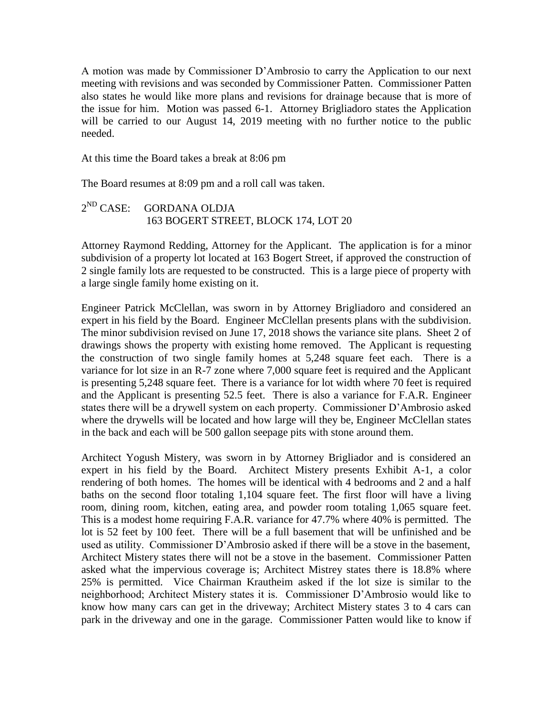A motion was made by Commissioner D'Ambrosio to carry the Application to our next meeting with revisions and was seconded by Commissioner Patten. Commissioner Patten also states he would like more plans and revisions for drainage because that is more of the issue for him. Motion was passed 6-1. Attorney Brigliadoro states the Application will be carried to our August 14, 2019 meeting with no further notice to the public needed.

At this time the Board takes a break at 8:06 pm

The Board resumes at 8:09 pm and a roll call was taken.

#### $2^{ND}$  CASE: GORDANA OLDJA 163 BOGERT STREET, BLOCK 174, LOT 20

Attorney Raymond Redding, Attorney for the Applicant. The application is for a minor subdivision of a property lot located at 163 Bogert Street, if approved the construction of 2 single family lots are requested to be constructed. This is a large piece of property with a large single family home existing on it.

Engineer Patrick McClellan, was sworn in by Attorney Brigliadoro and considered an expert in his field by the Board. Engineer McClellan presents plans with the subdivision. The minor subdivision revised on June 17, 2018 shows the variance site plans. Sheet 2 of drawings shows the property with existing home removed. The Applicant is requesting the construction of two single family homes at 5,248 square feet each. There is a variance for lot size in an R-7 zone where 7,000 square feet is required and the Applicant is presenting 5,248 square feet. There is a variance for lot width where 70 feet is required and the Applicant is presenting 52.5 feet. There is also a variance for F.A.R. Engineer states there will be a drywell system on each property. Commissioner D'Ambrosio asked where the drywells will be located and how large will they be, Engineer McClellan states in the back and each will be 500 gallon seepage pits with stone around them.

Architect Yogush Mistery, was sworn in by Attorney Brigliador and is considered an expert in his field by the Board. Architect Mistery presents Exhibit A-1, a color rendering of both homes. The homes will be identical with 4 bedrooms and 2 and a half baths on the second floor totaling 1,104 square feet. The first floor will have a living room, dining room, kitchen, eating area, and powder room totaling 1,065 square feet. This is a modest home requiring F.A.R. variance for 47.7% where 40% is permitted. The lot is 52 feet by 100 feet. There will be a full basement that will be unfinished and be used as utility. Commissioner D'Ambrosio asked if there will be a stove in the basement, Architect Mistery states there will not be a stove in the basement. Commissioner Patten asked what the impervious coverage is; Architect Mistrey states there is 18.8% where 25% is permitted. Vice Chairman Krautheim asked if the lot size is similar to the neighborhood; Architect Mistery states it is. Commissioner D'Ambrosio would like to know how many cars can get in the driveway; Architect Mistery states 3 to 4 cars can park in the driveway and one in the garage. Commissioner Patten would like to know if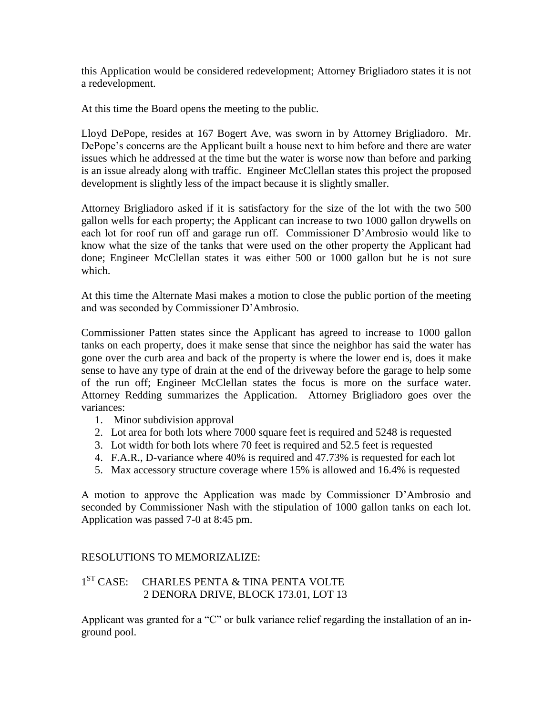this Application would be considered redevelopment; Attorney Brigliadoro states it is not a redevelopment.

At this time the Board opens the meeting to the public.

Lloyd DePope, resides at 167 Bogert Ave, was sworn in by Attorney Brigliadoro. Mr. DePope's concerns are the Applicant built a house next to him before and there are water issues which he addressed at the time but the water is worse now than before and parking is an issue already along with traffic. Engineer McClellan states this project the proposed development is slightly less of the impact because it is slightly smaller.

Attorney Brigliadoro asked if it is satisfactory for the size of the lot with the two 500 gallon wells for each property; the Applicant can increase to two 1000 gallon drywells on each lot for roof run off and garage run off. Commissioner D'Ambrosio would like to know what the size of the tanks that were used on the other property the Applicant had done; Engineer McClellan states it was either 500 or 1000 gallon but he is not sure which.

At this time the Alternate Masi makes a motion to close the public portion of the meeting and was seconded by Commissioner D'Ambrosio.

Commissioner Patten states since the Applicant has agreed to increase to 1000 gallon tanks on each property, does it make sense that since the neighbor has said the water has gone over the curb area and back of the property is where the lower end is, does it make sense to have any type of drain at the end of the driveway before the garage to help some of the run off; Engineer McClellan states the focus is more on the surface water. Attorney Redding summarizes the Application. Attorney Brigliadoro goes over the variances:

- 1. Minor subdivision approval
- 2. Lot area for both lots where 7000 square feet is required and 5248 is requested
- 3. Lot width for both lots where 70 feet is required and 52.5 feet is requested
- 4. F.A.R., D-variance where 40% is required and 47.73% is requested for each lot
- 5. Max accessory structure coverage where 15% is allowed and 16.4% is requested

A motion to approve the Application was made by Commissioner D'Ambrosio and seconded by Commissioner Nash with the stipulation of 1000 gallon tanks on each lot. Application was passed 7-0 at 8:45 pm.

## RESOLUTIONS TO MEMORIZALIZE:

#### $1<sup>ST</sup> CASE:$ CHARLES PENTA & TINA PENTA VOLTE 2 DENORA DRIVE, BLOCK 173.01, LOT 13

Applicant was granted for a "C" or bulk variance relief regarding the installation of an inground pool.